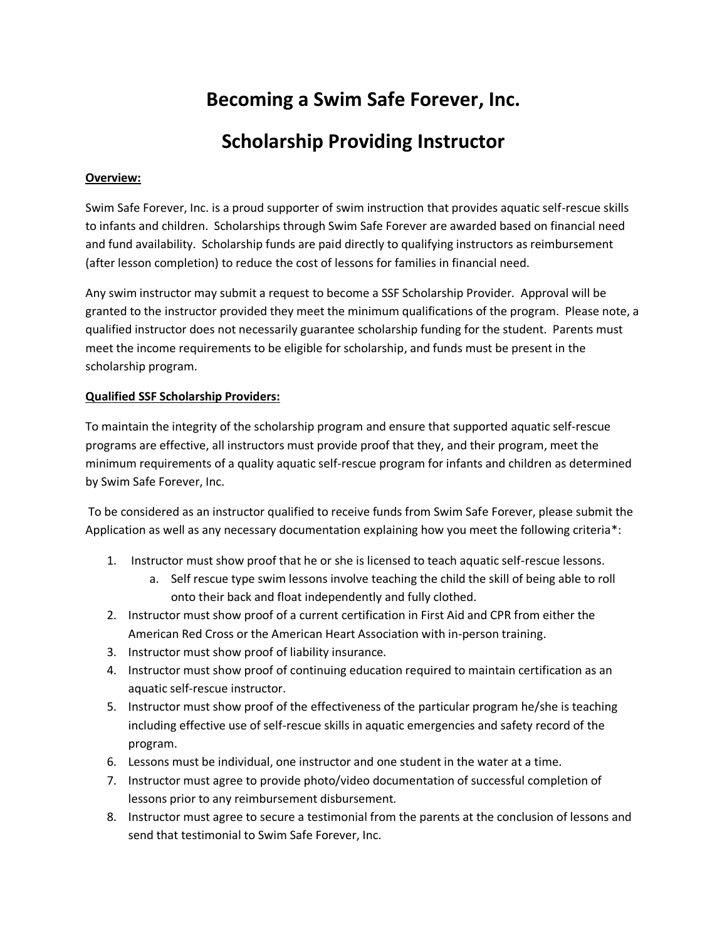## **Becoming a Swim Safe Forever, Inc.**

## **Scholarship Providing Instructor**

## **Overview:**

Swim Safe Forever, Inc. is a proud supporter of swim instruction that provides aquatic self-rescue skills to infants and children. Scholarships through Swim Safe Forever are awarded based on financial need and fund availability. Scholarship funds are paid directly to qualifying instructors as reimbursement (after lesson completion) to reduce the cost of lessons for families in financial need.

Any swim instructor may submit a request to become a SSF Scholarship Provider. Approval will be granted to the instructor provided they meet the minimum qualifications of the program. Please note, a qualified instructor does not necessarily guarantee scholarship funding for the student. Parents must meet the income requirements to be eligible for scholarship, and funds must be present in the scholarship program.

## **Qualified SSF Scholarship Providers:**

To maintain the integrity of the scholarship program and ensure that supported aquatic self-rescue programs are effective, all instructors must provide proof that they, and their program, meet the minimum requirements of a quality aquatic self-rescue program for infants and children as determined by Swim Safe Forever, Inc.

To be considered as an instructor qualified to receive funds from Swim Safe Forever, please submit the Application as well as any necessary documentation explaining how you meet the following criteria\*:

- 1. Instructor must show proof that he or she is licensed to teach aquatic self-rescue lessons.
	- a. Self rescue type swim lessons involve teaching the child the skill of being able to roll onto their back and float independently and fully clothed.
- 2. Instructor must show proof of a current certification in First Aid and CPR from either the American Red Cross or the American Heart Association with in-person training.
- 3. Instructor must show proof of liability insurance.
- 4. Instructor must show proof of continuing education required to maintain certification as an aquatic self-rescue instructor.
- 5. Instructor must show proof of the effectiveness of the particular program he/she is teaching including effective use of self-rescue skills in aquatic emergencies and safety record of the program.
- 6. Lessons must be individual, one instructor and one student in the water at a time.
- 7. Instructor must agree to provide photo/video documentation of successful completion of lessons prior to any reimbursement disbursement.
- 8. Instructor must agree to secure a testimonial from the parents at the conclusion of lessons and send that testimonial to Swim Safe Forever, Inc.